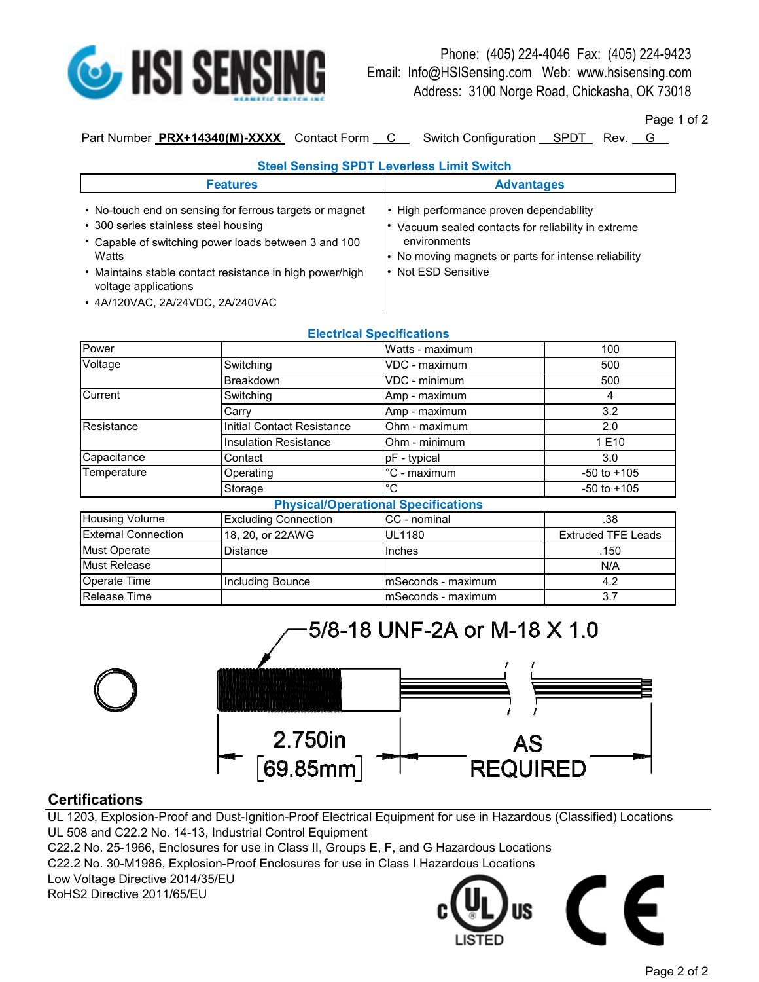

Phone: (405) 224-4046 Fax: (405) 224-9423 Email: Info@HSISensing.com Web: www.hsisensing.com Address: 3100 Norge Road, Chickasha, OK 73018

Page 1 of 2

Part Number **PRX+14340(M)-XXXX** Contact Form C Switch Configuration SPDT Rev. G

## **Steel Sensing SPDT Leverless Limit Switch**

| <b>Features</b>                                                                                                                                                                                                                                                                          | <b>Advantages</b>                                                                                                                                                                           |
|------------------------------------------------------------------------------------------------------------------------------------------------------------------------------------------------------------------------------------------------------------------------------------------|---------------------------------------------------------------------------------------------------------------------------------------------------------------------------------------------|
| • No-touch end on sensing for ferrous targets or magnet<br>• 300 series stainless steel housing<br>• Capable of switching power loads between 3 and 100<br>Watts<br>• Maintains stable contact resistance in high power/high<br>voltage applications<br>• 4A/120VAC, 2A/24VDC, 2A/240VAC | • High performance proven dependability<br>Vacuum sealed contacts for reliability in extreme<br>environments<br>• No moving magnets or parts for intense reliability<br>• Not ESD Sensitive |

## **Electrical Specifications**

| Power                      |                              | Watts - maximum                            | 100                       |
|----------------------------|------------------------------|--------------------------------------------|---------------------------|
| Voltage                    | Switching                    | VDC - maximum                              | 500                       |
|                            | <b>Breakdown</b>             | VDC - minimum                              | 500                       |
| Current                    | Switching                    | Amp - maximum                              | 4                         |
|                            | Carry                        | Amp - maximum                              | 3.2                       |
| Resistance                 | Initial Contact Resistance   | Ohm - maximum                              | 2.0                       |
|                            | <b>Insulation Resistance</b> | Ohm - minimum                              | 1 E10                     |
| Capacitance                | Contact                      | pF - typical                               | 3.0                       |
| Temperature                | Operating                    | °C - maximum                               | $-50$ to $+105$           |
|                            | Storage                      | °C                                         | $-50$ to $+105$           |
|                            |                              | <b>Physical/Operational Specifications</b> |                           |
| <b>Housing Volume</b>      | <b>Excluding Connection</b>  | CC - nominal                               | .38                       |
| <b>External Connection</b> | 18, 20, or 22AWG             | <b>UL1180</b>                              | <b>Extruded TFE Leads</b> |
| <b>Must Operate</b>        | <b>Distance</b>              | Inches                                     | .150                      |
| <b>Must Release</b>        |                              |                                            | N/A                       |
| Operate Time               | <b>Including Bounce</b>      | mSeconds - maximum                         | 4.2                       |
| Release Time               |                              | mSeconds - maximum                         | 3.7                       |



# **Certifications**

UL 1203, Explosion-Proof and Dust-Ignition-Proof Electrical Equipment for use in Hazardous (Classified) Locations UL 508 and C22.2 No. 14-13, Industrial Control Equipment C22.2 No. 25-1966, Enclosures for use in Class II, Groups E, F, and G Hazardous Locations

C22.2 No. 30-M1986, Explosion-Proof Enclosures for use in Class I Hazardous Locations

Low Voltage Directive 2014/35/EU RoHS2 Directive 2011/65/EU